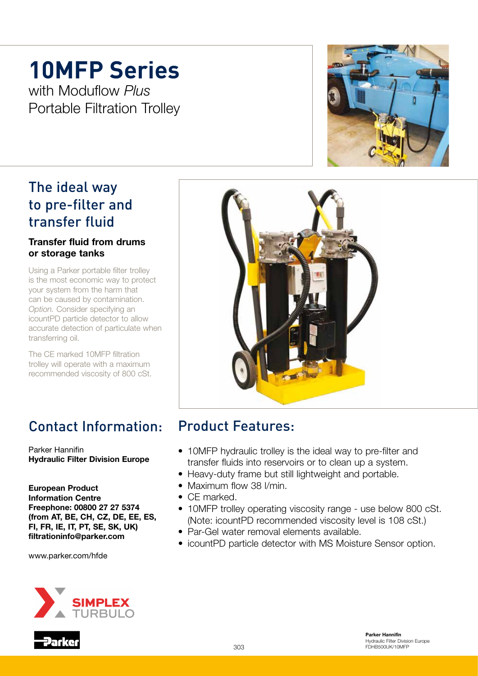## **10MFP Series**

with Moduflow *Plus* Portable Filtration Trolley

## The ideal way to pre-filter and transfer fluid

#### Transfer fluid from drums or storage tanks

Using a Parker portable filter trolley is the most economic way to protect your system from the harm that can be caused by contamination. *Option.* Consider specifying an icountPD particle detector to allow accurate detection of particulate when transferring oil.

The CE marked 10MFP filtration trolley will operate with a maximum recommended viscosity of 800 cSt.

## Contact Information:

Parker Hannifin Hydraulic Filter Division Europe

European Product Information Centre Freephone: 00800 27 27 5374 (from AT, BE, CH, CZ, DE, EE, ES, FI, FR, IE, IT, PT, SE, SK, UK) filtrationinfo@parker.com

www.parker.com/hfde







## Product Features:

- 10MFP hydraulic trolley is the ideal way to pre-filter and transfer fluids into reservoirs or to clean up a system.
- Heavy-duty frame but still lightweight and portable.
- Maximum flow 38 I/min.
- CF marked.
- 10MFP trolley operating viscosity range use below 800 cSt. (Note: icountPD recommended viscosity level is 108 cSt.)
- Par-Gel water removal elements available.
- icountPD particle detector with MS Moisture Sensor option.

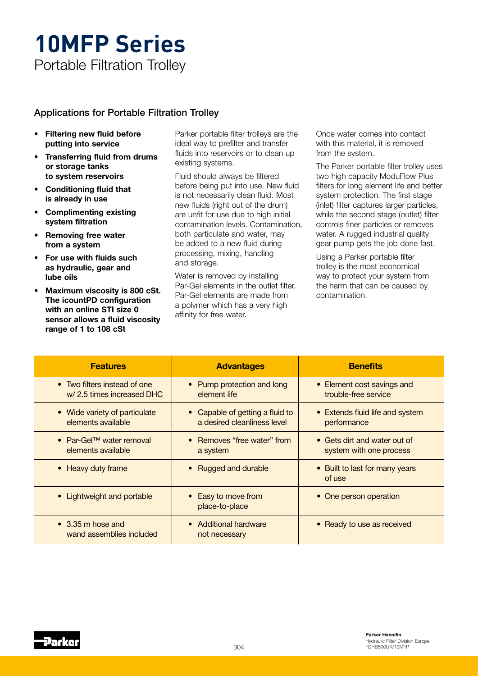# **10MFP Series**

Portable Filtration Trolley

#### Applications for Portable Filtration Trolley

- Filtering new fluid before putting into service
- Transferring fluid from drums or storage tanks to system reservoirs
- Conditioning fluid that is already in use
- Complimenting existing system filtration
- Removing free water from a system
- For use with fluids such as hydraulic, gear and lube oils
- Maximum viscosity is 800 cSt. The icountPD configuration with an online STI size 0 sensor allows a fluid viscosity range of 1 to 108 cSt

Parker portable filter trolleys are the ideal way to prefilter and transfer fluids into reservoirs or to clean up existing systems.

Fluid should always be filtered before being put into use. New fluid is not necessarily clean fluid. Most new fluids (right out of the drum) are unfit for use due to high initial contamination levels. Contamination, both particulate and water, may be added to a new fluid during processing, mixing, handling and storage.

Water is removed by installing Par-Gel elements in the outlet filter. Par-Gel elements are made from a polymer which has a very high affinity for free water.

Once water comes into contact with this material, it is removed from the system.

The Parker portable filter trolley uses two high capacity ModuFlow Plus filters for long element life and better system protection. The first stage (inlet) filter captures larger particles, while the second stage (outlet) filter controls finer particles or removes water. A rugged industrial quality gear pump gets the job done fast.

Using a Parker portable filter trolley is the most economical way to protect your system from the harm that can be caused by contamination.

| <b>Features</b>                                             | <b>Advantages</b>                                            | <b>Benefits</b>                                         |
|-------------------------------------------------------------|--------------------------------------------------------------|---------------------------------------------------------|
| • Two filters instead of one<br>w/2.5 times increased DHC   | • Pump protection and long<br>element life                   | • Element cost savings and<br>trouble-free service      |
| • Wide variety of particulate<br>elements available         | Capable of getting a fluid to<br>a desired cleanliness level | • Extends fluid life and system<br>performance          |
| • Par-Gel <sup>TM</sup> water removal<br>elements available | • Removes "free water" from<br>a system                      | • Gets dirt and water out of<br>system with one process |
| • Heavy duty frame                                          | <b>Rugged and durable</b>                                    | • Built to last for many years<br>of use                |
| • Lightweight and portable                                  | Easy to move from<br>place-to-place                          | • One person operation                                  |
| $\bullet$ 3.35 m hose and<br>wand assemblies included       | • Additional hardware<br>not necessary                       | • Ready to use as received                              |

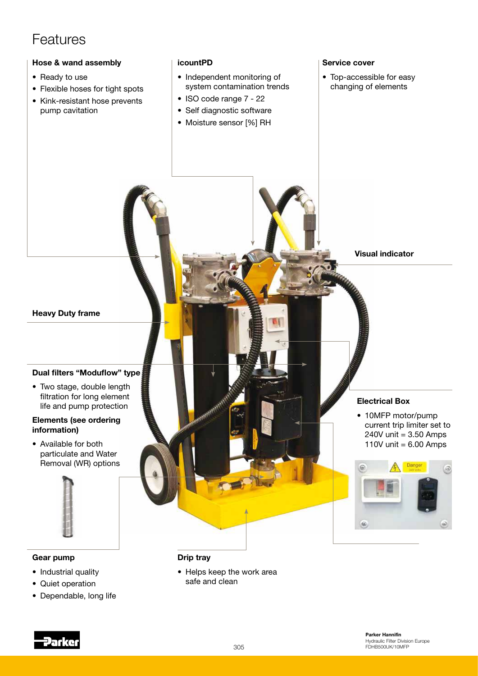### Features

#### Hose & wand assembly

- Ready to use
- Flexible hoses for tight spots
- Kink-resistant hose prevents pump cavitation

#### icountPD

- Independent monitoring of system contamination trends
- ISO code range 7 22
- Self diagnostic software
- Moisture sensor [%] RH

#### Service cover

• Top-accessible for easy changing of elements



- Industrial quality
- Quiet operation
- Dependable, long life

#### Drip tray

• Helps keep the work area safe and clean

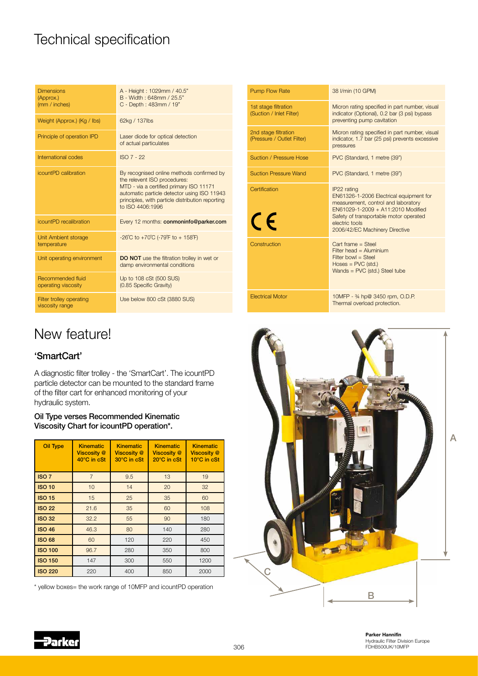## Technical specification

| <b>Dimensions</b><br>(Approx.)<br>(mm / inches) | A - Height: 1029mm / 40.5"<br>B - Width: 648mm / 25.5"<br>C - Depth: 483mm / 19"                                                                                                                                                            |
|-------------------------------------------------|---------------------------------------------------------------------------------------------------------------------------------------------------------------------------------------------------------------------------------------------|
| Weight (Approx.) (Kg / Ibs)                     | 62kg / 137lbs                                                                                                                                                                                                                               |
| Principle of operation IPD                      | Laser diode for optical detection<br>of actual particulates                                                                                                                                                                                 |
| International codes                             | <b>ISO 7 - 22</b>                                                                                                                                                                                                                           |
| icountPD calibration                            | By recognised online methods confirmed by<br>the relevent ISO procedures:<br>MTD - via a certified primary ISO 11171<br>automatic particle detector using ISO 11943<br>principles, with particle distribution reporting<br>to ISO 4406:1996 |
| icountPD recalibration                          | Every 12 months: conmoninfo@parker.com                                                                                                                                                                                                      |
| Unit Ambient storage<br>temperature             | -26°C to +70°C (-79°F to + 158°F)                                                                                                                                                                                                           |
| Unit operating environment                      | <b>DO NOT</b> use the filtration trolley in wet or<br>damp environmental conditions                                                                                                                                                         |
| Recommended fluid<br>operating viscosity        | Up to 108 cSt (500 SUS)<br>(0.85 Specific Gravity)                                                                                                                                                                                          |
| Filter trolley operating<br>viscosity range     | Use below 800 cSt (3880 SUS)                                                                                                                                                                                                                |

| <b>Pump Flow Rate</b>                              | 38 I/min (10 GPM)                                                                                                                                                                                                                 |
|----------------------------------------------------|-----------------------------------------------------------------------------------------------------------------------------------------------------------------------------------------------------------------------------------|
| 1st stage filtration<br>(Suction / Inlet Filter)   | Micron rating specified in part number, visual<br>indicator (Optional), 0.2 bar (3 psi) bypass<br>preventing pump cavitation                                                                                                      |
| 2nd stage filtration<br>(Pressure / Outlet Filter) | Micron rating specified in part number, visual<br>indicator, 1.7 bar (25 psi) prevents excessive<br>pressures                                                                                                                     |
| Suction / Pressure Hose                            | PVC (Standard, 1 metre (39")                                                                                                                                                                                                      |
| <b>Suction Pressure Wand</b>                       | PVC (Standard, 1 metre (39")                                                                                                                                                                                                      |
| Certification<br>CE                                | IP22 rating<br>EN61326-1-2006 Electrical equipment for<br>measurement, control and laboratory<br>EN61029-1-2009 + A11:2010 Modified<br>Safety of transportable motor operated<br>electric tools<br>2006/42/EC Machinery Directive |
| Construction                                       | Cart frame $=$ Steel<br>Filter head $=$ Aluminium<br>$Filter$ bowl = Steel<br>$Hoses = PVC$ (std.)<br>Wands = $PVC$ (std.) Steel tube                                                                                             |
| <b>Electrical Motor</b>                            | 10MFP - 34 hp@ 3450 rpm, O.D.P.<br>Thermal overload protection.                                                                                                                                                                   |

## New feature!

#### 'SmartCart'

A diagnostic filter trolley - the 'SmartCart'. The icountPD particle detector can be mounted to the standard frame of the filter cart for enhanced monitoring of your hydraulic system.

#### Oil Type verses Recommended Kinematic Viscosity Chart for icountPD operation\*.

| <b>Oil Type</b>  | <b>Kinematic</b><br><b>Viscosity</b> @<br>40°C in cSt | <b>Kinematic</b><br><b>Viscosity</b> @<br>30°C in cSt | <b>Kinematic</b><br><b>Viscosity</b> @<br>20°C in cSt | <b>Kinematic</b><br><b>Viscosity</b> @<br>10°C in cSt |
|------------------|-------------------------------------------------------|-------------------------------------------------------|-------------------------------------------------------|-------------------------------------------------------|
| ISO <sub>7</sub> | $\overline{7}$                                        | 9.5                                                   | 13                                                    | 19                                                    |
| <b>ISO 10</b>    | 10                                                    | 14                                                    | 20                                                    | 32                                                    |
| <b>ISO 15</b>    | 15                                                    | 25                                                    | 35                                                    | 60                                                    |
| <b>ISO 22</b>    | 21.6                                                  | 35                                                    | 60                                                    | 108                                                   |
| <b>ISO 32</b>    | 32.2                                                  | 55                                                    | 90                                                    | 180                                                   |
| <b>ISO 46</b>    | 46.3                                                  | 80                                                    | 140                                                   | 280                                                   |
| <b>ISO 68</b>    | 60                                                    | 120                                                   | 220                                                   | 450                                                   |
| <b>ISO 100</b>   | 96.7                                                  | 280                                                   | 350                                                   | 800                                                   |
| <b>ISO 150</b>   | 147                                                   | 300                                                   | 550                                                   | 1200                                                  |
| <b>ISO 220</b>   | 220                                                   | 400                                                   | 850                                                   | 2000                                                  |

\* yellow boxes= the work range of 10MFP and icountPD operation



Parker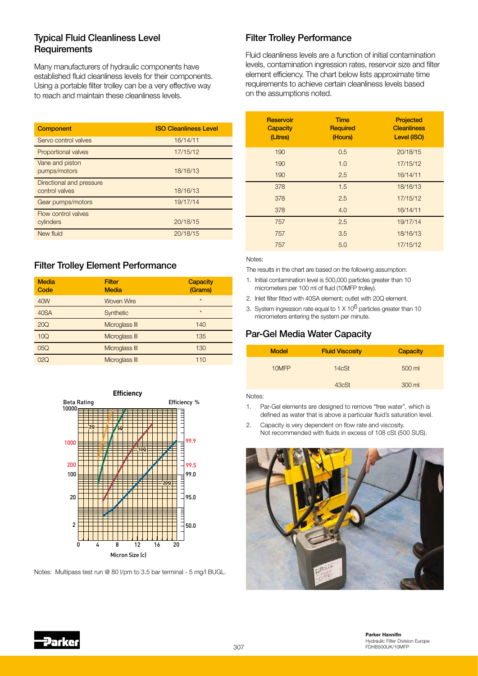#### Typical Fluid Cleanliness Level **Requirements**

Many manufacturers of hydraulic components have established fluid cleanliness levels for their components. Using a portable filter trolley can be a very effective way to reach and maintain these cleanliness levels.

| <b>Component</b>                           | <b>ISO Cleanliness Level</b> |
|--------------------------------------------|------------------------------|
| Servo control valves                       | 16/14/11                     |
| <b>Proportional valves</b>                 | 17/15/12                     |
| Vane and piston<br>pumps/motors            | 18/16/13                     |
| Directional and pressure<br>control valves | 18/16/13                     |
| Gear pumps/motors                          | 19/17/14                     |
| Flow control valves<br>cylinders           | 20/18/15                     |
| New fluid                                  | 20/18/15                     |

#### Filter Trolley Element Performance

| <b>Media</b><br>Code | <b>Filter</b><br><b>Media</b> | <b>Capacity</b><br>(Grams) |
|----------------------|-------------------------------|----------------------------|
| 40W                  | <b>Woven Wire</b>             | $\star$                    |
| 40SA                 | Synthetic                     | $\star$                    |
| 20Q                  | Microglass III                | 140                        |
| 10Q                  | Microglass III                | 135                        |
| 05Q                  | Microglass III                | 130                        |
| 02Q                  | Microglass III                | 110                        |



Notes: Multipass test run @ 80 l/pm to 3.5 bar terminal - 5 mg/l BUGL.

#### Filter Trolley Performance

Fluid cleanliness levels are a function of initial contamination levels, contamination ingression rates, reservoir size and filter element efficiency. The chart below lists approximate time requirements to achieve certain cleanliness levels based on the assumptions noted.

| Reservoir<br><b>Capacity</b><br>(Litres) | <b>Time</b><br><b>Required</b><br>(Hours) | <b>Projected</b><br><b>Cleanliness</b><br>Level (ISO) |
|------------------------------------------|-------------------------------------------|-------------------------------------------------------|
| 190                                      | 0.5                                       | 20/18/15                                              |
| 190                                      | 1.0                                       | 17/15/12                                              |
| 190                                      | 2.5                                       | 16/14/11                                              |
| 378                                      | 1.5                                       | 18/16/13                                              |
| 378                                      | 2.5                                       | 17/15/12                                              |
| 378                                      | 4.0                                       | 16/14/11                                              |
| 757                                      | 2.5                                       | 19/17/14                                              |
| 757                                      | 3.5                                       | 18/16/13                                              |
| 757                                      | 5.0                                       | 17/15/12                                              |

#### Notes:

The results in the chart are based on the following assumption:

- 1. Initial contamination level is 500,000 particles greater than 10 micrometers per 100 ml of fluid (10MFP trolley).
- 2. Inlet filter fitted with 40SA element; outlet with 20Q element.
- 3. System ingression rate equal to  $1 \times 10^6$  particles greater than 10 micrometers entering the system per minute.

#### Par-Gel Media Water Capacity

| <b>Model</b>     | <b>Fluid Viscosity</b> | Capacity |
|------------------|------------------------|----------|
| 10MFP            | 14cSt                  | 500 ml   |
|                  | 43cSt                  | 300 ml   |
| <b>N L L L L</b> |                        |          |

Notes:

1. Par-Gel elements are designed to remove "free water", which is defined as water that is above a particular fluid's saturation level.

2. Capacity is very dependent on flow rate and viscosity. Not recommended with fluids in excess of 108 cSt (500 SUS).



 $307$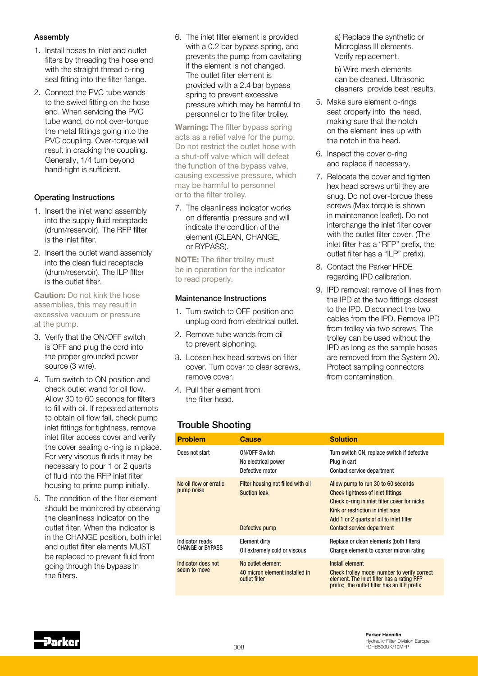#### Assembly

- 1. Install hoses to inlet and outlet filters by threading the hose end with the straight thread o-ring seal fitting into the filter flange.
- 2. Connect the PVC tube wands to the swivel fitting on the hose end. When servicing the PVC tube wand, do not over-torque the metal fittings going into the PVC coupling. Over-torque will result in cracking the coupling. Generally, 1/4 turn beyond hand-tight is sufficient.

#### Operating Instructions

- 1. Insert the inlet wand assembly into the supply fluid receptacle (drum/reservoir). The RFP filter is the inlet filter.
- 2. Insert the outlet wand assembly into the clean fluid receptacle (drum/reservoir). The ILP fIlter is the outlet filter.

Caution: Do not kink the hose assemblies, this may result in excessive vacuum or pressure at the pump.

- 3. Verify that the ON/OFF switch is OFF and plug the cord into the proper grounded power source (3 wire).
- 4. Turn switch to ON position and check outlet wand for oil flow. Allow 30 to 60 seconds for filters to fill with oil. If repeated attempts to obtain oil flow fail, check pump inlet fittings for tightness, remove inlet filter access cover and verify the cover sealing o-ring is in place. For very viscous fluids it may be necessary to pour 1 or 2 quarts of fluid into the RFP inlet filter housing to prime pump initially.
- 5. The condition of the filter element should be monitored by observing the cleanliness indicator on the outlet filter. When the indicator is in the CHANGE position, both inlet and outlet filter elements MUST be replaced to prevent fluid from going through the bypass in the filters.

6. The inlet filter element is provided with a 0.2 bar bypass spring, and prevents the pump from cavitating if the element is not changed. The outlet filter element is provided with a 2.4 bar bypass spring to prevent excessive pressure which may be harmful to personnel or to the filter trolley.

Warning: The filter bypass spring acts as a relief valve for the pump. Do not restrict the outlet hose with a shut-off valve which will defeat the function of the bypass valve, causing excessive pressure, which may be harmful to personnel or to the filter trolley.

7. The cleanliness indicator works on differential pressure and will indicate the condition of the element (CLEAN, CHANGE, or BYPASS).

NOTE: The filter trolley must be in operation for the indicator to read properly.

#### Maintenance Instructions

- 1. Turn switch to OFF position and unplug cord from electrical outlet.
- 2. Remove tube wands from oil to prevent siphoning.
- 3. Loosen hex head screws on filter cover. Turn cover to clear screws, remove cover.
- 4. Pull filter element from the filter head.

 a) Replace the synthetic or Microglass III elements. Verify replacement.

 b) Wire mesh elements can be cleaned. Ultrasonic cleaners provide best results.

- 5. Make sure element o-rings seat properly into the head, making sure that the notch on the element lines up with the notch in the head.
- 6. Inspect the cover o-ring and replace if necessary.
- 7. Relocate the cover and tighten hex head screws until they are snug. Do not over-torque these screws (Max torque is shown) in maintenance leaflet). Do not interchange the inlet filter cover with the outlet filter cover. (The inlet filter has a "RFP" prefix, the outlet filter has a "ILP" prefix).
- 8. Contact the Parker HFDE regarding IPD calibration.
- 9. IPD removal: remove oil lines from the IPD at the two fittings closest to the IPD. Disconnect the two cables from the IPD. Remove IPD from trolley via two screws. The trolley can be used without the IPD as long as the sample hoses are removed from the System 20. Protect sampling connectors from contamination.

#### Trouble Shooting

| <b>Problem</b>                             | Cause                                                                       | <b>Solution</b>                                                                                                                                                                                                                               |
|--------------------------------------------|-----------------------------------------------------------------------------|-----------------------------------------------------------------------------------------------------------------------------------------------------------------------------------------------------------------------------------------------|
| Does not start                             | <b>ON/OFF Switch</b><br>No electrical power<br>Defective motor              | Turn switch ON, replace switch if defective<br>Plug in cart<br>Contact service department                                                                                                                                                     |
| No oil flow or erratic<br>pump noise       | Filter housing not filled with oil<br><b>Suction leak</b><br>Defective pump | Allow pump to run 30 to 60 seconds<br><b>Check tightness of inlet fittings</b><br>Check o-ring in inlet filter cover for nicks<br>Kink or restriction in inlet hose<br>Add 1 or 2 quarts of oil to inlet filter<br>Contact service department |
| Indicator reads<br><b>CHANGE or BYPASS</b> | Element dirty<br>Oil extremely cold or viscous                              | Replace or clean elements (both filters)<br>Change element to coarser micron rating                                                                                                                                                           |
| Indicator does not<br>seem to move         | No outlet element<br>40 micron element installed in<br>outlet filter        | Install element<br>Check trolley model number to verify correct<br>element. The inlet filter has a rating RFP<br>prefix; the outlet filter has an ILP prefix                                                                                  |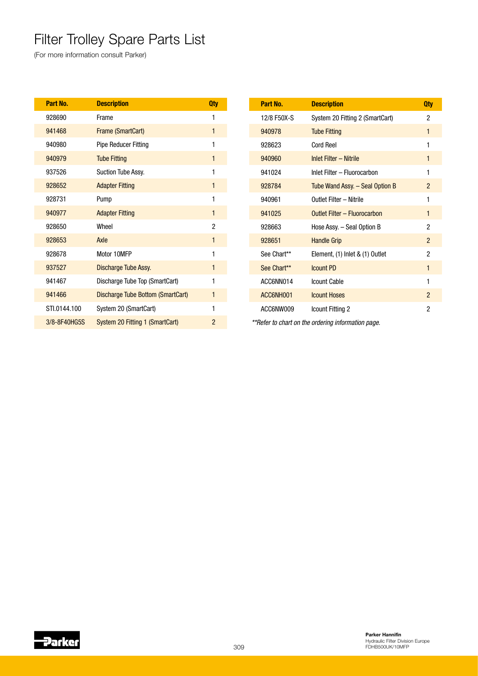## Filter Trolley Spare Parts List

(For more information consult Parker)

| Part No.     | <b>Description</b>                | <b>Qty</b>     | Part No.    | <b>Description</b>                                 |  |
|--------------|-----------------------------------|----------------|-------------|----------------------------------------------------|--|
| 928690       | Frame                             |                | 12/8 F50X-S | System 20 Fitting 2 (SmartCart)                    |  |
| 941468       | Frame (SmartCart)                 |                | 940978      | <b>Tube Fitting</b>                                |  |
| 940980       | <b>Pipe Reducer Fitting</b>       |                | 928623      | <b>Cord Reel</b>                                   |  |
| 940979       | <b>Tube Fitting</b>               | 1              | 940960      | Inlet Filter - Nitrile                             |  |
| 937526       | Suction Tube Assy.                |                | 941024      | Inlet Filter - Fluorocarbon                        |  |
| 928652       | <b>Adapter Fitting</b>            |                | 928784      | Tube Wand Assy. - Seal Option B                    |  |
| 928731       | Pump                              |                | 940961      | Outlet Filter - Nitrile                            |  |
| 940977       | <b>Adapter Fitting</b>            | 1              | 941025      | Outlet Filter - Fluorocarbon                       |  |
| 928650       | Wheel                             | $\overline{c}$ | 928663      | Hose Assy. - Seal Option B                         |  |
| 928653       | Axle                              | 1              | 928651      | <b>Handle Grip</b>                                 |  |
| 928678       | Motor 10MFP                       |                | See Chart** | Element, (1) Inlet & (1) Outlet                    |  |
| 937527       | Discharge Tube Assy.              | 1              | See Chart** | <b>Icount PD</b>                                   |  |
| 941467       | Discharge Tube Top (SmartCart)    |                | ACC6NN014   | <b>Icount Cable</b>                                |  |
| 941466       | Discharge Tube Bottom (SmartCart) | 1              | ACC6NH001   | <b>Icount Hoses</b>                                |  |
| STI.0144.100 | System 20 (SmartCart)             |                | ACC6NW009   | Icount Fitting 2                                   |  |
| 3/8-8F40HG5S | System 20 Fitting 1 (SmartCart)   | $\overline{2}$ |             | **Refer to chart on the ordering information page. |  |